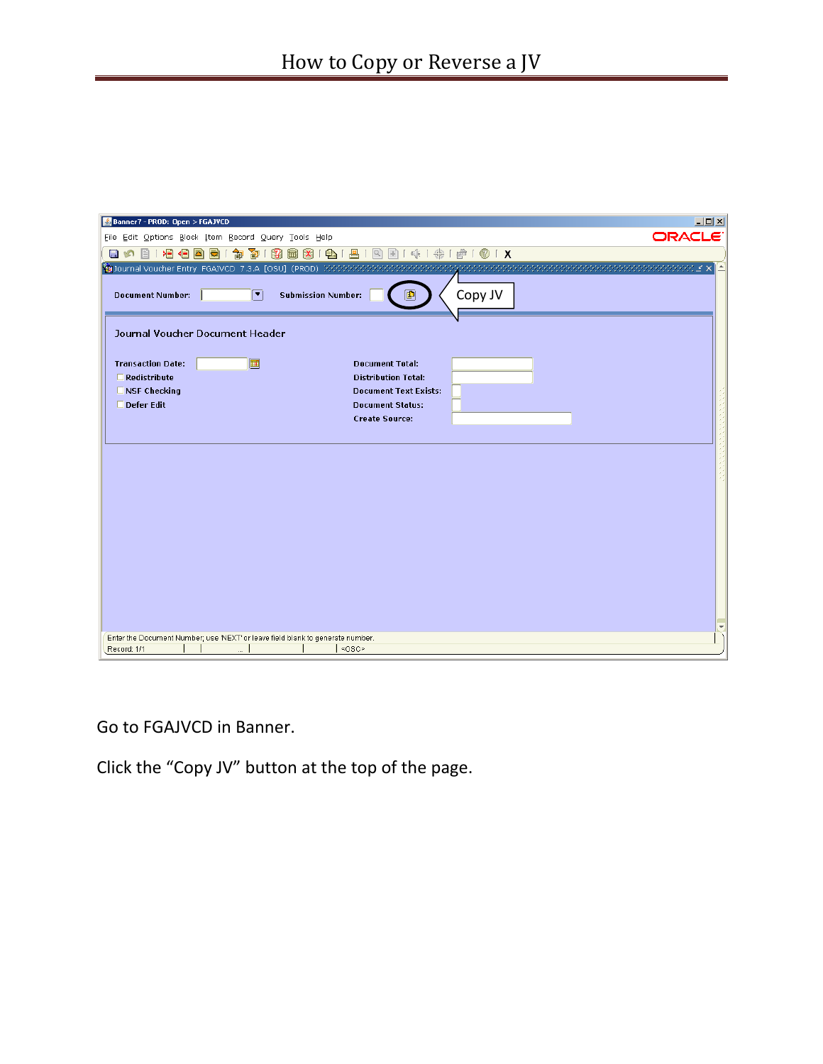| Banner7 - PROD: Open > FGAJVCD                                                 | $\Box$              |
|--------------------------------------------------------------------------------|---------------------|
| File Edit Options Block Item Record Query Tools Help                           | ORACLE <sup>®</sup> |
| 相相固<br><u>ବା</u><br>E<br>$\blacksquare$<br><b>IS</b>                           |                     |
|                                                                                |                     |
| Copy JV<br>⊡<br><b>Submission Number:</b><br><b>Document Number:</b>           |                     |
| Journal Voucher Document Header                                                |                     |
| 圃<br><b>Transaction Date:</b><br><b>Document Total:</b>                        |                     |
| $\Box$ Redistribute<br><b>Distribution Total:</b>                              |                     |
| $\square$ NSF Checking<br><b>Document Text Exists:</b>                         |                     |
| □ Defer Edit<br><b>Document Status:</b>                                        |                     |
| <b>Create Source:</b>                                                          |                     |
|                                                                                |                     |
|                                                                                |                     |
|                                                                                |                     |
|                                                                                |                     |
|                                                                                |                     |
|                                                                                |                     |
|                                                                                |                     |
|                                                                                |                     |
|                                                                                |                     |
|                                                                                |                     |
|                                                                                |                     |
|                                                                                |                     |
|                                                                                |                     |
| Enter the Document Number; use 'NEXT' or leave field blank to generate number. |                     |
| <0SC><br>Record: 1/1<br>$\cdots$                                               |                     |

Go to FGAJVCD in Banner.

Click the "Copy JV" button at the top of the page.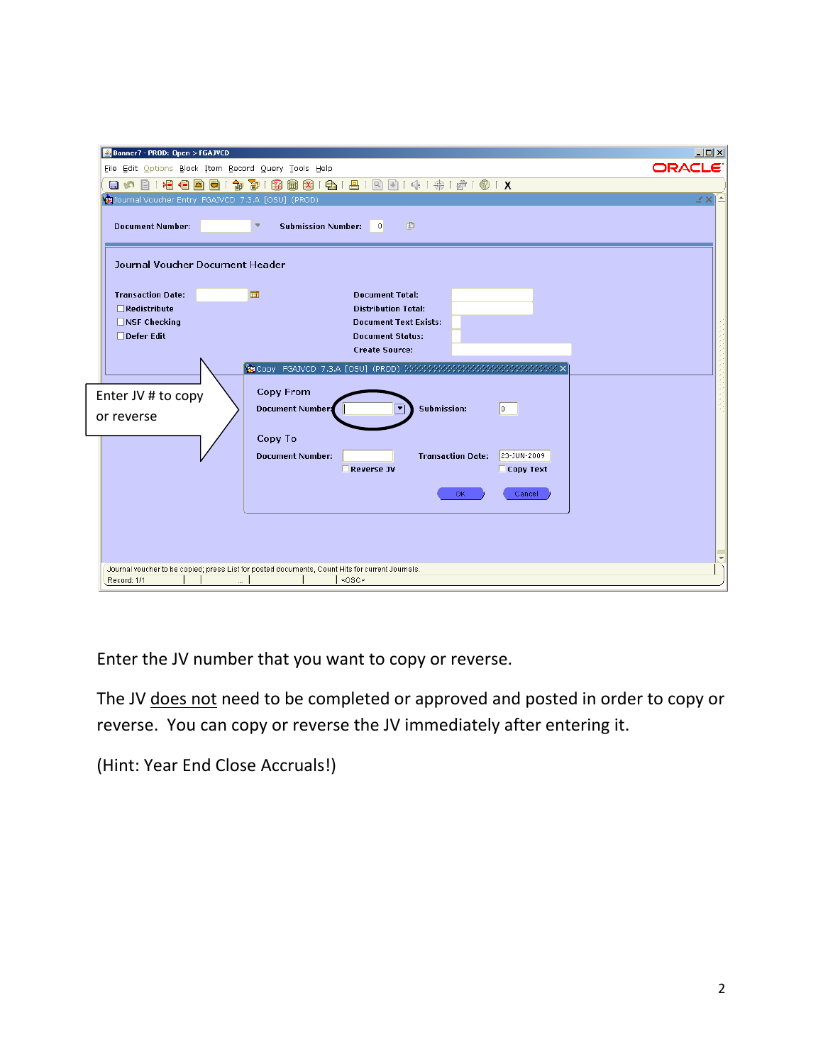| Banner7 - PROD: Open > FGAJVCD                                                                  | $   $ $  $ $\times$ $ $ |
|-------------------------------------------------------------------------------------------------|-------------------------|
| File Edit Options Block Item Record Query Tools Help                                            | <b>ORACLE</b>           |
| 18 8 6 1 8 1 8 1 9 1 4 1 4 1 6 1 8 1 8<br>滑信固<br>御<br>寄<br>132<br>日の目<br><b>M</b>               |                         |
| Cournal Voucher Entry FGAJVCD 7.3.A [OSU] (PROD)                                                | ¥Χ                      |
| 中<br><b>Submission Number:</b><br><b>Document Number:</b><br>▾<br>$\overline{0}$                |                         |
| <b>Journal Voucher Document Header</b>                                                          |                         |
| <b>Transaction Date:</b><br><b>Document Total:</b><br>⊞                                         |                         |
| $\Box$ Redistribute<br><b>Distribution Total:</b>                                               |                         |
| $\Box$ NSF Checking<br><b>Document Text Exists:</b>                                             |                         |
| □Defer Edit<br><b>Document Status:</b>                                                          |                         |
| <b>Create Source:</b>                                                                           |                         |
|                                                                                                 |                         |
| <b>Copy From</b>                                                                                |                         |
| Enter JV # to copy                                                                              |                         |
| Submission:<br><b>Document Number:</b><br>lo.<br>or reverse                                     |                         |
|                                                                                                 |                         |
| Copy To                                                                                         |                         |
| <b>Transaction Date:</b><br><b>Document Number:</b><br>23-JUN-2009                              |                         |
| <b>Reverse JV</b><br>$\Box$ Copy Text                                                           |                         |
| <b>OK</b><br>Cancel                                                                             |                         |
|                                                                                                 |                         |
|                                                                                                 |                         |
|                                                                                                 |                         |
|                                                                                                 |                         |
| Journal voucher to be copied; press List for posted documents, Count Hits for current Journals. |                         |
| <0SC><br>Record: 1/1<br>$\cdots$                                                                |                         |

Enter the JV number that you want to copy or reverse.

The JV does not need to be completed or approved and posted in order to copy or reverse. You can copy or reverse the JV immediately after entering it.

(Hint: Year End Close Accruals!)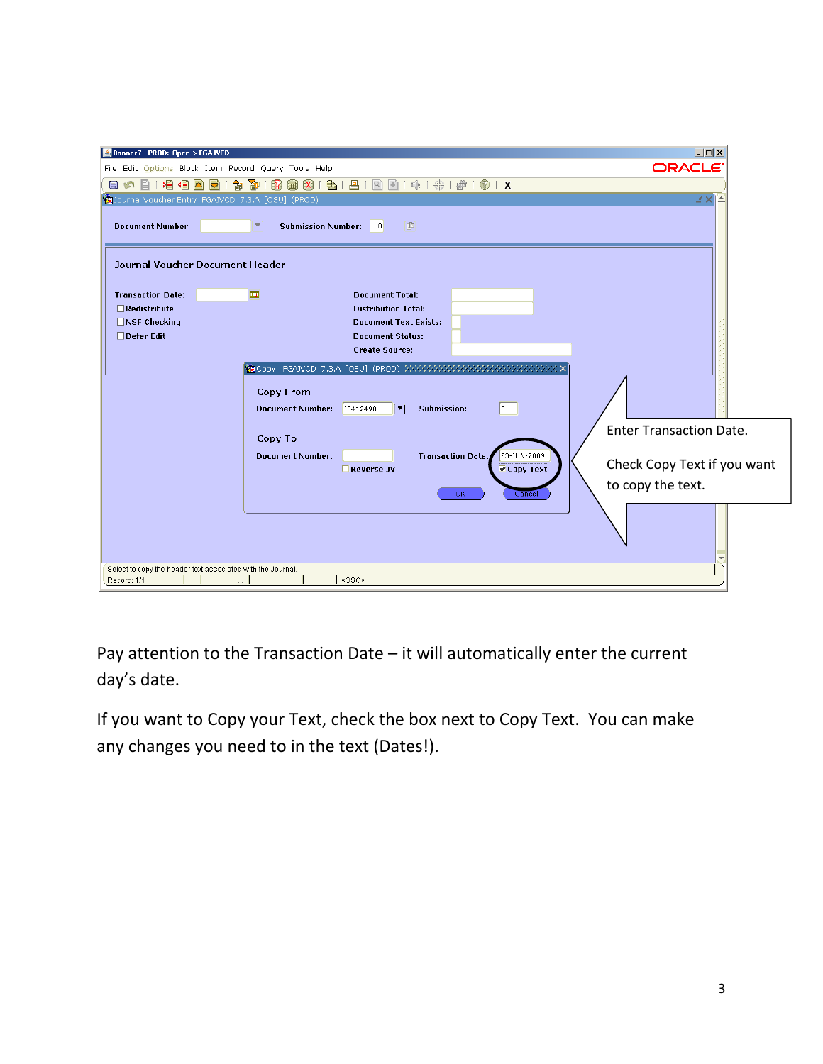| Banner7 - PROD: Open > FGAJVCD                                                                             | $   $ $  $ $\times$ $ $        |  |  |
|------------------------------------------------------------------------------------------------------------|--------------------------------|--|--|
| File Edit Options Block Item Record Query Tools Help                                                       | <b>ORACLE</b>                  |  |  |
| 阁<br>132<br>)를 4를 참 하<br>御<br><b>BST</b>                                                                   |                                |  |  |
| Journal Voucher Entry FGAJVCD 7.3.A [OSU] (PROD)                                                           | ¥Χ                             |  |  |
| 画<br><b>Submission Number:</b><br><b>Document Number:</b><br>$\overline{0}$<br>×.                          |                                |  |  |
| Journal Voucher Document Header                                                                            |                                |  |  |
| <b>Transaction Date:</b><br>⊞<br><b>Document Total:</b>                                                    |                                |  |  |
| $\Box$ Redistribute<br><b>Distribution Total:</b>                                                          |                                |  |  |
| $\Box$ NSF Checking<br><b>Document Text Exists:</b>                                                        |                                |  |  |
| □Defer Edit<br><b>Document Status:</b><br><b>Create Source:</b>                                            |                                |  |  |
|                                                                                                            |                                |  |  |
| <b>Copy From</b><br>⊡<br>$\vert$ <sub>0</sub><br>J0412498<br><b>Submission:</b><br><b>Document Number:</b> |                                |  |  |
| Copy To                                                                                                    | <b>Enter Transaction Date.</b> |  |  |
| <b>Transaction Date:</b><br>23-JUN-2009<br><b>Document Number:</b><br><b>⊘</b> Copy Text<br>Reverse JV     | Check Copy Text if you want    |  |  |
| <b>OK</b><br>Cance                                                                                         | to copy the text.              |  |  |
|                                                                                                            |                                |  |  |
| Select to copy the header text associated with the Journal.<br><0SC><br>Record: 1/1<br>$\ddotsc$           |                                |  |  |

Pay attention to the Transaction Date – it will automatically enter the current day's date.

If you want to Copy your Text, check the box next to Copy Text. You can make any changes you need to in the text (Dates!).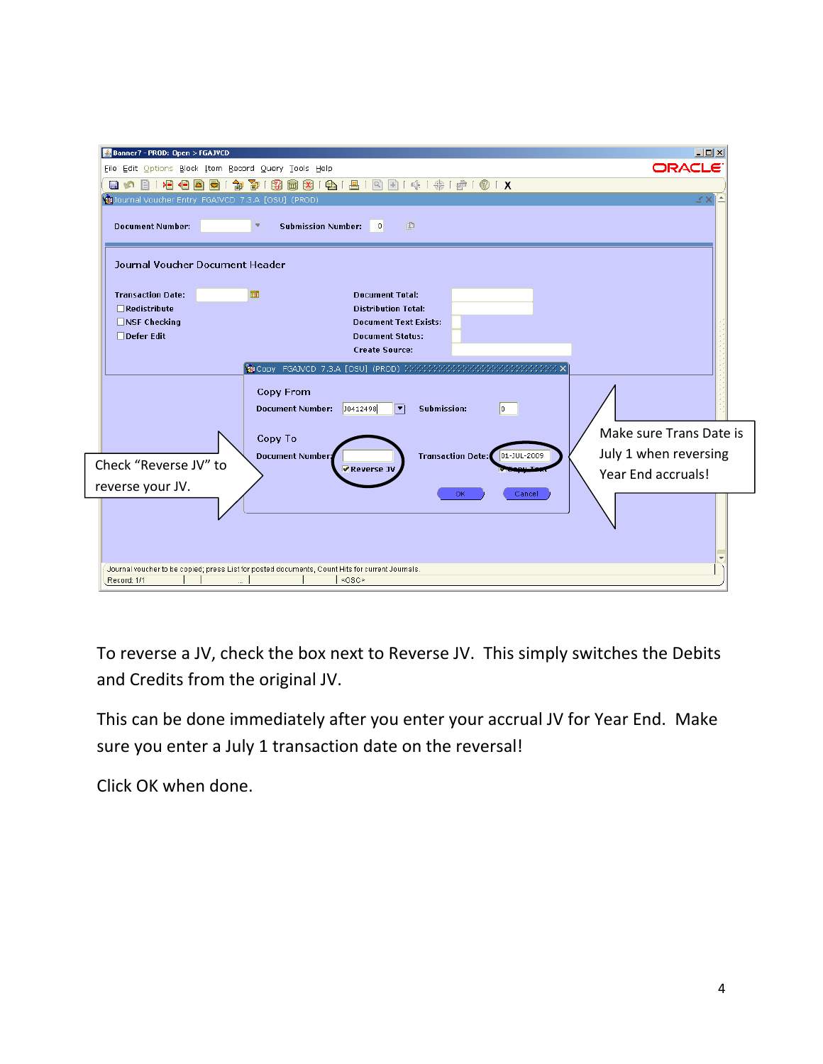| Banner7 - PROD: Open > FGAJVCD                       |                                                                                                 | $  \vert$ $ \vert$ $\times$ |
|------------------------------------------------------|-------------------------------------------------------------------------------------------------|-----------------------------|
| File Edit Options Block Item Record Query Tools Help |                                                                                                 | <b>ORACLE</b>               |
| D⊟<br>目め<br>4⊟1                                      | 8 6 6 8 9 6 6 7<br>寄<br>$\mathbb{R}$<br>圃<br>匍                                                  |                             |
| Journal Voucher Entry FGAJVCD 7.3.A [OSU] (PROD)     |                                                                                                 | м×                          |
| <b>Document Number:</b>                              | 国<br><b>Submission Number:</b><br>$\overline{0}$<br>×.                                          |                             |
| Journal Voucher Document Header                      |                                                                                                 |                             |
| <b>Transaction Date:</b>                             | ▦<br><b>Document Total:</b>                                                                     |                             |
| $\Box$ Redistribute                                  | <b>Distribution Total:</b>                                                                      |                             |
| $\Box$ NSF Checking                                  | <b>Document Text Exists:</b>                                                                    |                             |
| $\Box$ Defer Edit                                    | <b>Document Status:</b><br><b>Create Source:</b>                                                |                             |
|                                                      |                                                                                                 |                             |
|                                                      |                                                                                                 |                             |
|                                                      | <b>Copy From</b>                                                                                |                             |
|                                                      | <b>Document Number:</b><br>30412498<br>⊡<br>Submission:<br>lo.                                  |                             |
|                                                      | Copy To                                                                                         | Make sure Trans Date is     |
|                                                      | <b>Transaction Date:</b><br>Document Number:<br>01-JUL-2009                                     | July 1 when reversing       |
| Check "Reverse JV" to                                | Reverse JV                                                                                      | Year End accruals!          |
| reverse your JV.                                     |                                                                                                 |                             |
|                                                      | ОK<br>Cancel                                                                                    |                             |
|                                                      |                                                                                                 |                             |
|                                                      |                                                                                                 |                             |
|                                                      |                                                                                                 |                             |
|                                                      | Journal voucher to be copied; press List for posted documents, Count Hits for current Journals. |                             |
| Record: 1/1                                          | $<$ OSC $\ge$<br>$\cdots$                                                                       |                             |

To reverse a JV, check the box next to Reverse JV. This simply switches the Debits and Credits from the original JV.

This can be done immediately after you enter your accrual JV for Year End. Make sure you enter a July 1 transaction date on the reversal!

Click OK when done.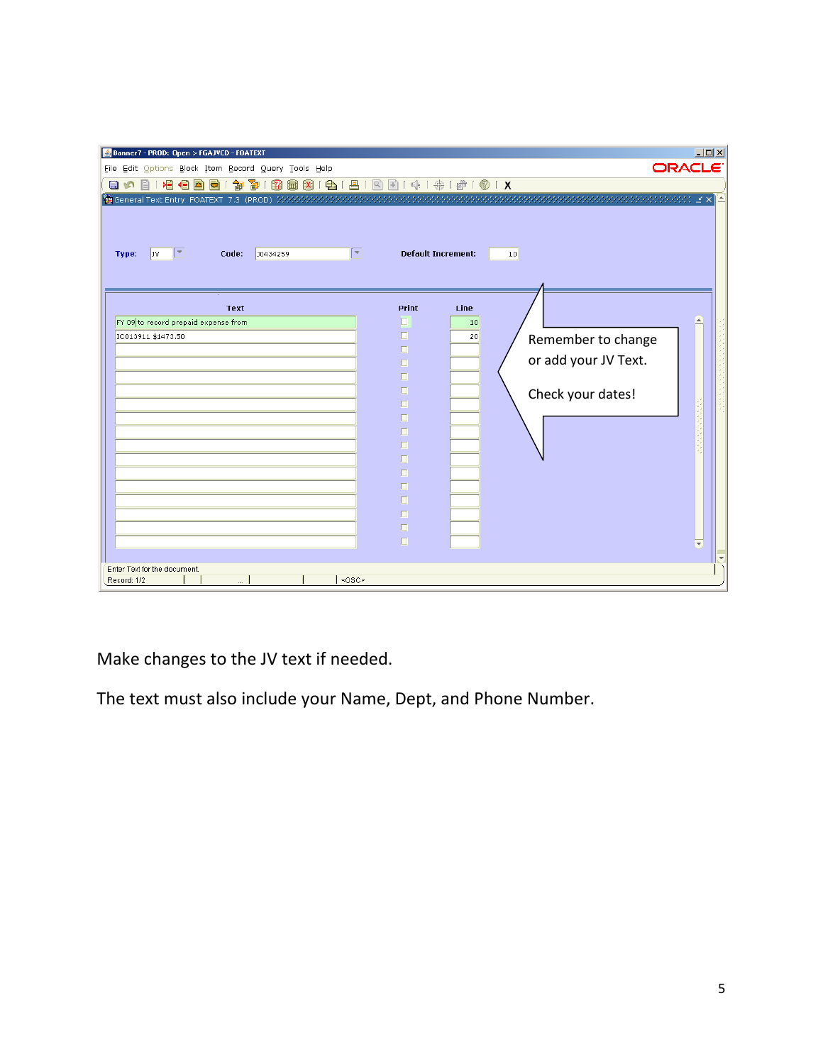| Print<br>Line<br>Text<br>FY 09 to record prepaid expense from<br>п<br>10<br>п<br>IC013911 \$1473.50<br>20<br>Remember to change<br>$\Box$<br>or add your JV Text.<br>п<br>$\Box$<br>$\Box$<br>Check your dates!<br>$\Box$<br>$\Box$<br>$\Box$<br>$\Box$<br>$\Box$<br>$\Box$<br>$\Box$<br>$\Box$<br>$\Box$<br>$\Box$ | Banner7 - PROD: Open > FGAJVCD - FOATEXT<br>File Edit Options Block Item Record Query Tools Help<br>日の日1日目目目1台50周围10日1日1日1日10日1キ1台101X<br>n<br>ஈ<br>Jv.<br>Code:<br>Type:<br>J0434259 | <b>Default Increment:</b> | $\Box$<br>ORACLE <sup>®</sup><br>10 |
|---------------------------------------------------------------------------------------------------------------------------------------------------------------------------------------------------------------------------------------------------------------------------------------------------------------------|---------------------------------------------------------------------------------------------------------------------------------------------------------------------------------------|---------------------------|-------------------------------------|
| Enter Text for the document.                                                                                                                                                                                                                                                                                        |                                                                                                                                                                                       | $\Box$                    |                                     |

Make changes to the JV text if needed.

The text must also include your Name, Dept, and Phone Number.